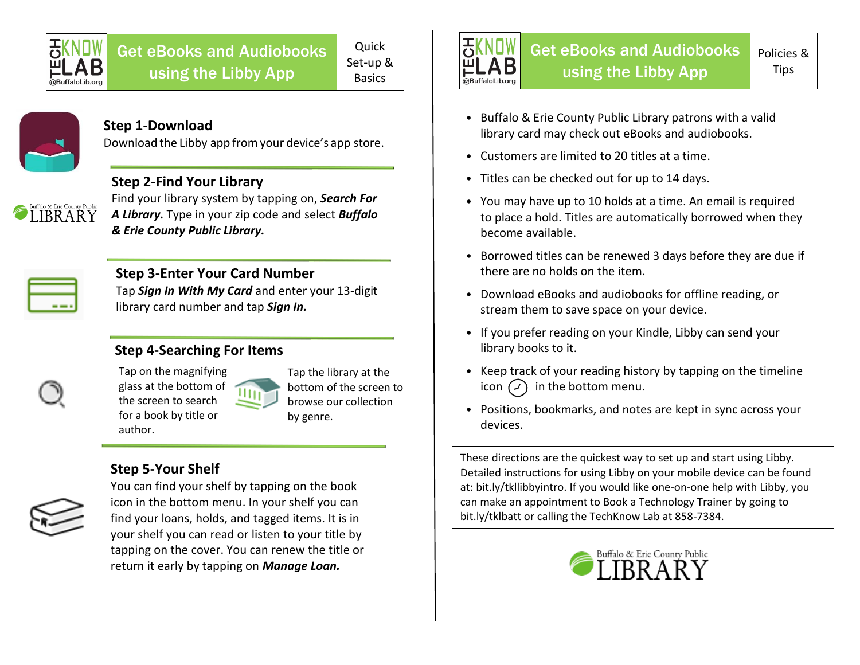

# Get eBooks and Audiobooks using the Libby App

Quick Set-up & Basics



#### **Step 1-Download**

Download the Libby app fromyour device's app store.

### **Step 2-Find Your Library**

Find your library system by tapping on, *Search For A Library.* Type in your zip code and select *Buffalo & Erie County Public Library.*



IRR A R Y

### **Step 3-Enter Your Card Number**

Tap *Sign In With My Card* and enter your 13-digit library card number and tap *Sign In.*

### **Step 4-Searching For Items**



Tap the library at the bottom of the screen to browse our collection by genre.

## **Step 5-Your Shelf**

author.



You can find your shelf by tapping on the book icon in the bottom menu. In your shelf you can find your loans, holds, and tagged items. It is in your shelf you can read or listen to your title by tapping on the cover. You can renew the title or return it early by tapping on *Manage Loan.*



- Buffalo & Erie County Public Library patrons with a valid library card may check out eBooks and audiobooks.
- Customers are limited to 20 titles at a time.
- Titles can be checked out for up to 14 days.
- You may have up to 10 holds at a time. An email is required to place a hold. Titles are automatically borrowed when they become available.
- Borrowed titles can be renewed 3 days before they are due if there are no holds on the item.
- Download eBooks and audiobooks for offline reading, or stream them to save space on your device.
- If you prefer reading on your Kindle, Libby can send your library books to it.
- Keep track of your reading history by tapping on the timeline icon  $\left(\frac{1}{2}\right)$  in the bottom menu.
- Positions, bookmarks, and notes are kept in sync across your devices.

These directions are the quickest way to set up and start using Libby. Detailed instructions for using Libby on your mobile device can be found at: bit.ly/tkllibbyintro. If you would like one-on-one help with Libby, you can make an appointment to Book a Technology Trainer by going to bit.ly/tklbatt or calling the TechKnow Lab at 858-7384.